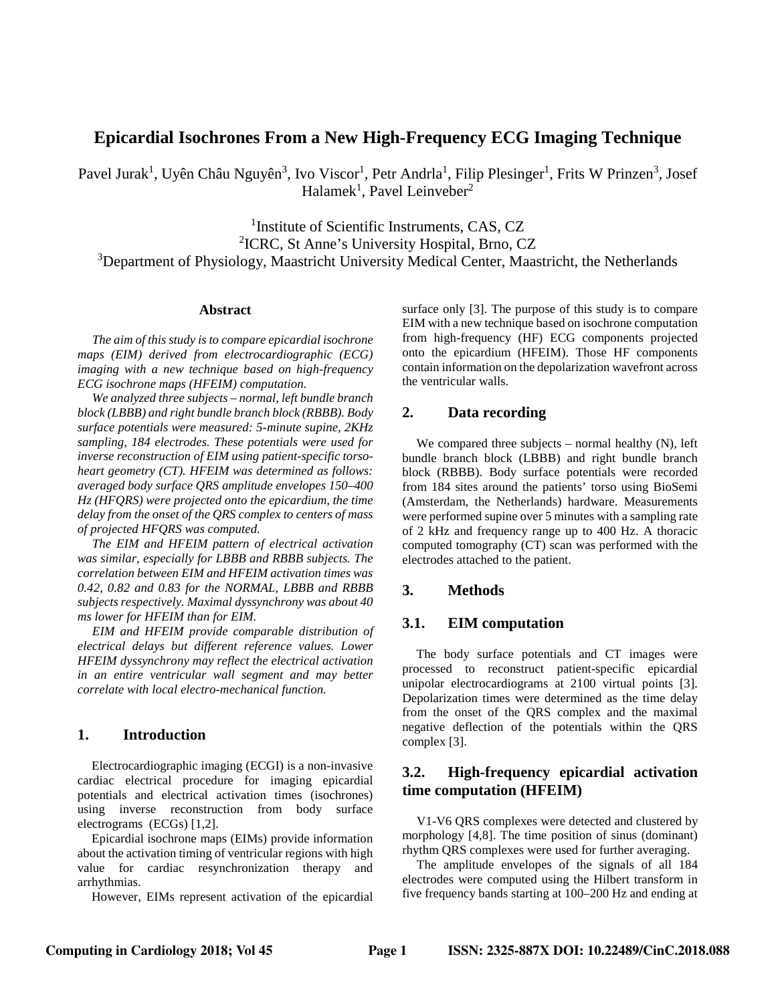# **Epicardial Isochrones From a New High-Frequency ECG Imaging Technique**

Pavel Jurak<sup>1</sup>, Uyên Châu Nguyên<sup>3</sup>, Ivo Viscor<sup>1</sup>, Petr Andrla<sup>1</sup>, Filip Plesinger<sup>1</sup>, Frits W Prinzen<sup>3</sup>, Josef Halamek<sup>1</sup>, Pavel Leinveber<sup>2</sup>

<sup>1</sup>Institute of Scientific Instruments, CAS, CZ 2 ICRC, St Anne's University Hospital, Brno, CZ <sup>3</sup>Department of Physiology, Maastricht University Medical Center, Maastricht, the Netherlands

#### **Abstract**

*The aim of this study is to compare epicardial isochrone maps (EIM) derived from electrocardiographic (ECG) imaging with a new technique based on high-frequency ECG isochrone maps (HFEIM) computation.*

*We analyzed three subjects – normal, left bundle branch block (LBBB) and right bundle branch block (RBBB). Body surface potentials were measured: 5-minute supine, 2KHz sampling, 184 electrodes. These potentials were used for inverse reconstruction of EIM using patient-specific torsoheart geometry (CT). HFEIM was determined as follows: averaged body surface QRS amplitude envelopes 150–400 Hz (HFQRS) were projected onto the epicardium, the time delay from the onset of the QRS complex to centers of mass of projected HFQRS was computed.*

*The EIM and HFEIM pattern of electrical activation was similar, especially for LBBB and RBBB subjects. The correlation between EIM and HFEIM activation times was 0.42, 0.82 and 0.83 for the NORMAL, LBBB and RBBB subjects respectively. Maximal dyssynchrony was about 40 ms lower for HFEIM than for EIM.*

*EIM and HFEIM provide comparable distribution of electrical delays but different reference values. Lower HFEIM dyssynchrony may reflect the electrical activation in an entire ventricular wall segment and may better correlate with local electro-mechanical function.*

## **1. Introduction**

Electrocardiographic imaging (ECGI) is a non-invasive cardiac electrical procedure for imaging epicardial potentials and electrical activation times (isochrones) using inverse reconstruction from body surface electrograms (ECGs) [1,2].

Epicardial isochrone maps (EIMs) provide information about the activation timing of ventricular regions with high value for cardiac resynchronization therapy and arrhythmias.

However, EIMs represent activation of the epicardial

surface only [3]. The purpose of this study is to compare EIM with a new technique based on isochrone computation from high-frequency (HF) ECG components projected onto the epicardium (HFEIM). Those HF components contain information on the depolarization wavefront across the ventricular walls.

### **2. Data recording**

We compared three subjects – normal healthy  $(N)$ , left bundle branch block (LBBB) and right bundle branch block (RBBB). Body surface potentials were recorded from 184 sites around the patients' torso using BioSemi (Amsterdam, the Netherlands) hardware. Measurements were performed supine over 5 minutes with a sampling rate of 2 kHz and frequency range up to 400 Hz. A thoracic computed tomography (CT) scan was performed with the electrodes attached to the patient.

### **3. Methods**

### **3.1. EIM computation**

The body surface potentials and CT images were processed to reconstruct patient-specific epicardial unipolar electrocardiograms at 2100 virtual points [3]. Depolarization times were determined as the time delay from the onset of the QRS complex and the maximal negative deflection of the potentials within the QRS complex [3].

# **3.2. High-frequency epicardial activation time computation (HFEIM)**

V1-V6 QRS complexes were detected and clustered by morphology [4,8]. The time position of sinus (dominant) rhythm QRS complexes were used for further averaging.

The amplitude envelopes of the signals of all 184 electrodes were computed using the Hilbert transform in five frequency bands starting at 100–200 Hz and ending at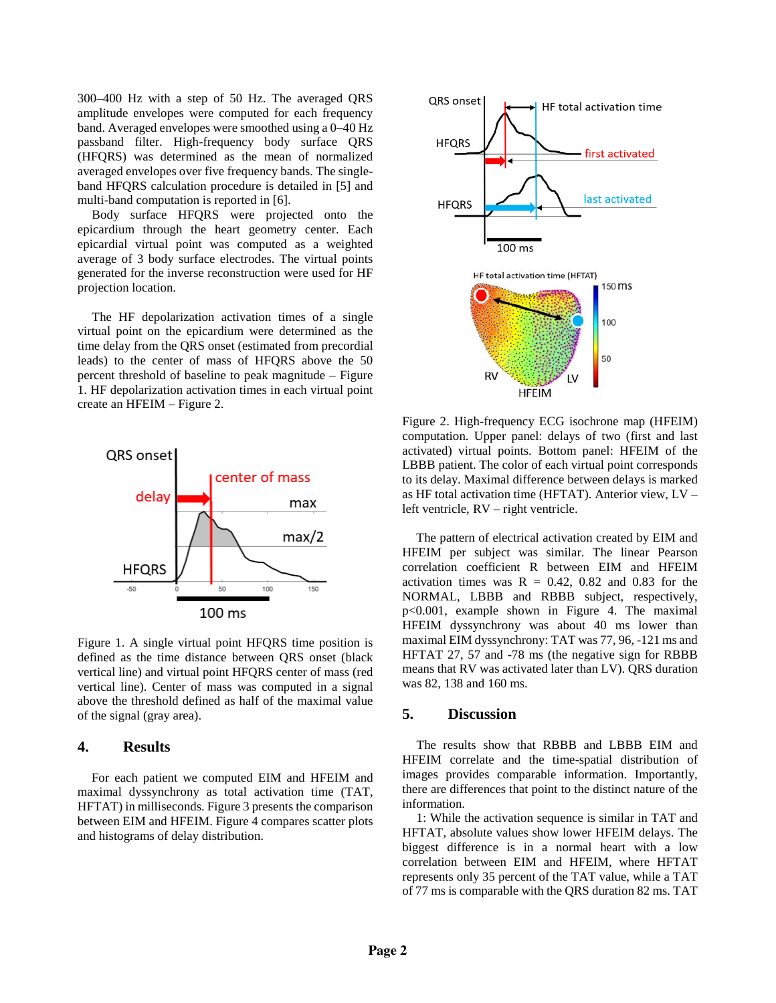300–400 Hz with a step of 50 Hz. The averaged QRS amplitude envelopes were computed for each frequency band. Averaged envelopes were smoothed using a 0–40 Hz passband filter. High-frequency body surface QRS (HFQRS) was determined as the mean of normalized averaged envelopes over five frequency bands. The singleband HFQRS calculation procedure is detailed in [5] and multi-band computation is reported in [6].

Body surface HFQRS were projected onto the epicardium through the heart geometry center. Each epicardial virtual point was computed as a weighted average of 3 body surface electrodes. The virtual points generated for the inverse reconstruction were used for HF projection location.

The HF depolarization activation times of a single virtual point on the epicardium were determined as the time delay from the QRS onset (estimated from precordial leads) to the center of mass of HFQRS above the 50 percent threshold of baseline to peak magnitude – Figure 1. HF depolarization activation times in each virtual point create an HFEIM – Figure 2.



Figure 1. A single virtual point HFQRS time position is defined as the time distance between QRS onset (black vertical line) and virtual point HFQRS center of mass (red vertical line). Center of mass was computed in a signal above the threshold defined as half of the maximal value of the signal (gray area).

#### **4. Results**

For each patient we computed EIM and HFEIM and maximal dyssynchrony as total activation time (TAT, HFTAT) in milliseconds. Figure 3 presents the comparison between EIM and HFEIM. Figure 4 compares scatter plots and histograms of delay distribution.



Figure 2. High-frequency ECG isochrone map (HFEIM) computation. Upper panel: delays of two (first and last activated) virtual points. Bottom panel: HFEIM of the LBBB patient. The color of each virtual point corresponds to its delay. Maximal difference between delays is marked as HF total activation time (HFTAT). Anterior view, LV – left ventricle, RV – right ventricle.

The pattern of electrical activation created by EIM and HFEIM per subject was similar. The linear Pearson correlation coefficient R between EIM and HFEIM activation times was  $R = 0.42$ , 0.82 and 0.83 for the NORMAL, LBBB and RBBB subject, respectively, p<0.001, example shown in Figure 4. The maximal HFEIM dyssynchrony was about 40 ms lower than maximal EIM dyssynchrony: TAT was 77, 96, -121 ms and HFTAT 27, 57 and -78 ms (the negative sign for RBBB means that RV was activated later than LV). QRS duration was 82, 138 and 160 ms.

#### **5. Discussion**

The results show that RBBB and LBBB EIM and HFEIM correlate and the time-spatial distribution of images provides comparable information. Importantly, there are differences that point to the distinct nature of the information.

1: While the activation sequence is similar in TAT and HFTAT, absolute values show lower HFEIM delays. The biggest difference is in a normal heart with a low correlation between EIM and HFEIM, where HFTAT represents only 35 percent of the TAT value, while a TAT of 77 ms is comparable with the QRS duration 82 ms. TAT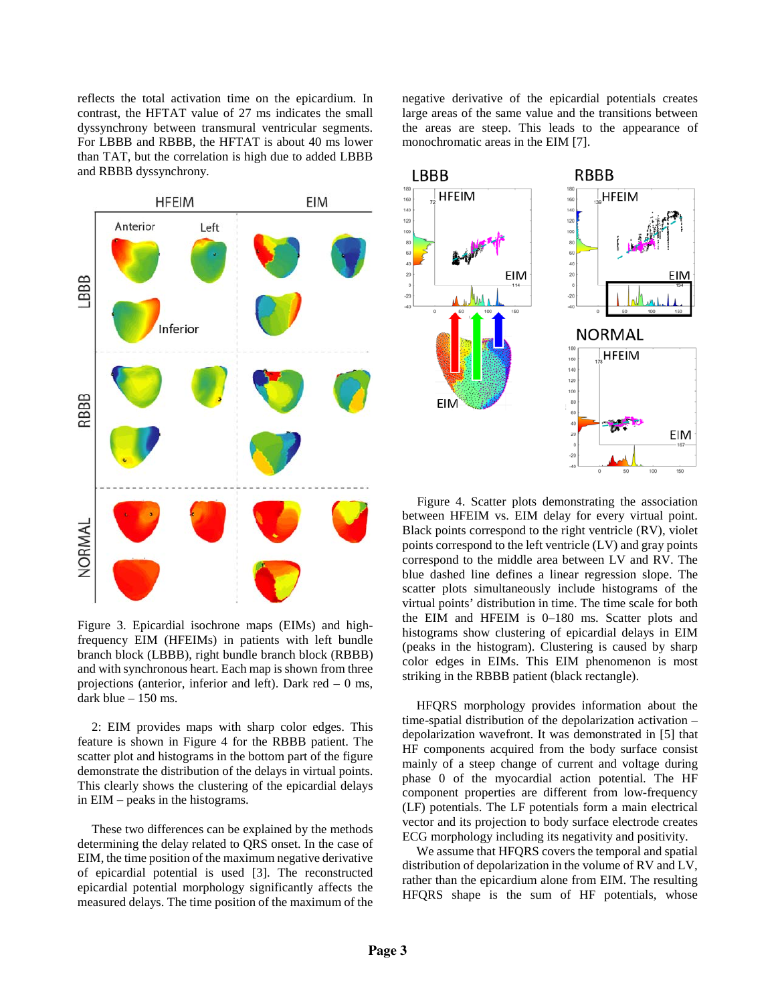reflects the total activation time on the epicardium. In contrast, the HFTAT value of 27 ms indicates the small dyssynchrony between transmural ventricular segments. For LBBB and RBBB, the HFTAT is about 40 ms lower than TAT, but the correlation is high due to added LBBB and RBBB dyssynchrony.



Figure 3. Epicardial isochrone maps (EIMs) and highfrequency EIM (HFEIMs) in patients with left bundle branch block (LBBB), right bundle branch block (RBBB) and with synchronous heart. Each map is shown from three projections (anterior, inferior and left). Dark red  $-0$  ms, dark blue – 150 ms.

2: EIM provides maps with sharp color edges. This feature is shown in Figure 4 for the RBBB patient. The scatter plot and histograms in the bottom part of the figure demonstrate the distribution of the delays in virtual points. This clearly shows the clustering of the epicardial delays in EIM – peaks in the histograms.

These two differences can be explained by the methods determining the delay related to QRS onset. In the case of EIM, the time position of the maximum negative derivative of epicardial potential is used [3]. The reconstructed epicardial potential morphology significantly affects the measured delays. The time position of the maximum of the

negative derivative of the epicardial potentials creates large areas of the same value and the transitions between the areas are steep. This leads to the appearance of monochromatic areas in the EIM [7].



Figure 4. Scatter plots demonstrating the association between HFEIM vs. EIM delay for every virtual point. Black points correspond to the right ventricle (RV), violet points correspond to the left ventricle (LV) and gray points correspond to the middle area between LV and RV. The blue dashed line defines a linear regression slope. The scatter plots simultaneously include histograms of the virtual points' distribution in time. The time scale for both the EIM and HFEIM is 0–180 ms. Scatter plots and histograms show clustering of epicardial delays in EIM (peaks in the histogram). Clustering is caused by sharp color edges in EIMs. This EIM phenomenon is most striking in the RBBB patient (black rectangle).

HFQRS morphology provides information about the time-spatial distribution of the depolarization activation – depolarization wavefront. It was demonstrated in [5] that HF components acquired from the body surface consist mainly of a steep change of current and voltage during phase 0 of the myocardial action potential. The HF component properties are different from low-frequency (LF) potentials. The LF potentials form a main electrical vector and its projection to body surface electrode creates ECG morphology including its negativity and positivity.

We assume that HFQRS covers the temporal and spatial distribution of depolarization in the volume of RV and LV, rather than the epicardium alone from EIM. The resulting HFQRS shape is the sum of HF potentials, whose